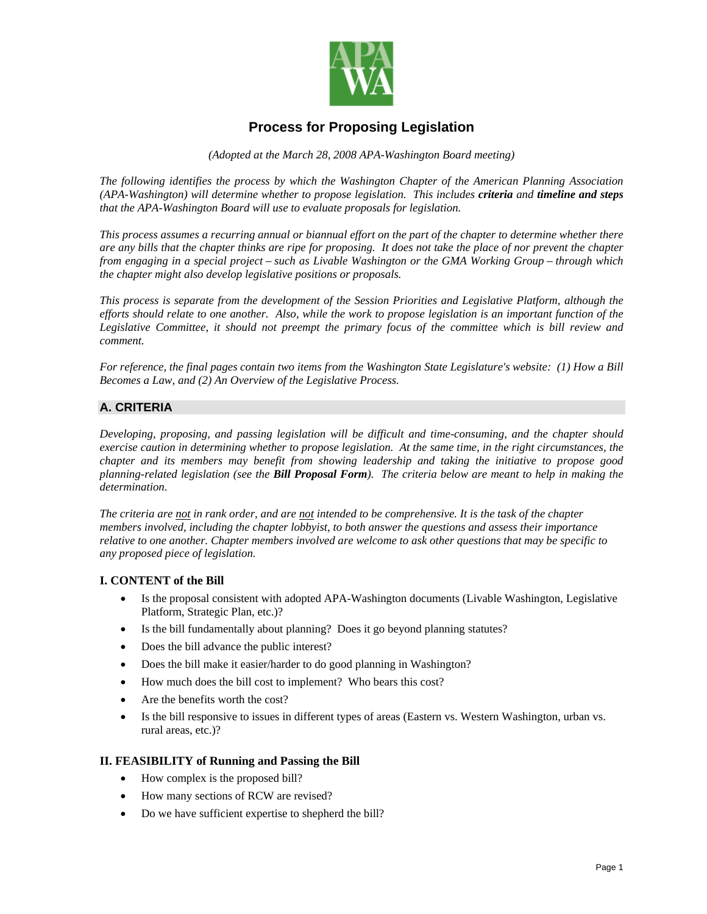

# **Process for Proposing Legislation**

*(Adopted at the March 28, 2008 APA-Washington Board meeting)* 

*The following identifies the process by which the Washington Chapter of the American Planning Association (APA-Washington) will determine whether to propose legislation. This includes criteria and timeline and steps that the APA-Washington Board will use to evaluate proposals for legislation.* 

*This process assumes a recurring annual or biannual effort on the part of the chapter to determine whether there are any bills that the chapter thinks are ripe for proposing. It does not take the place of nor prevent the chapter from engaging in a special project – such as Livable Washington or the GMA Working Group – through which the chapter might also develop legislative positions or proposals.* 

*This process is separate from the development of the Session Priorities and Legislative Platform, although the efforts should relate to one another. Also, while the work to propose legislation is an important function of the Legislative Committee, it should not preempt the primary focus of the committee which is bill review and comment.* 

*For reference, the final pages contain two items from the Washington State Legislature's website: (1) How a Bill Becomes a Law, and (2) An Overview of the Legislative Process.* 

# **A. CRITERIA**

*Developing, proposing, and passing legislation will be difficult and time-consuming, and the chapter should exercise caution in determining whether to propose legislation. At the same time, in the right circumstances, the chapter and its members may benefit from showing leadership and taking the initiative to propose good planning-related legislation (see the Bill Proposal Form). The criteria below are meant to help in making the determination.* 

*The criteria are not in rank order, and are not intended to be comprehensive. It is the task of the chapter members involved, including the chapter lobbyist, to both answer the questions and assess their importance relative to one another. Chapter members involved are welcome to ask other questions that may be specific to any proposed piece of legislation.* 

# **I. CONTENT of the Bill**

- Is the proposal consistent with adopted APA-Washington documents (Livable Washington, Legislative Platform, Strategic Plan, etc.)?
- Is the bill fundamentally about planning? Does it go beyond planning statutes?
- Does the bill advance the public interest?
- Does the bill make it easier/harder to do good planning in Washington?
- How much does the bill cost to implement? Who bears this cost?
- Are the benefits worth the cost?
- Is the bill responsive to issues in different types of areas (Eastern vs. Western Washington, urban vs. rural areas, etc.)?

# **II. FEASIBILITY of Running and Passing the Bill**

- How complex is the proposed bill?
- How many sections of RCW are revised?
- Do we have sufficient expertise to shepherd the bill?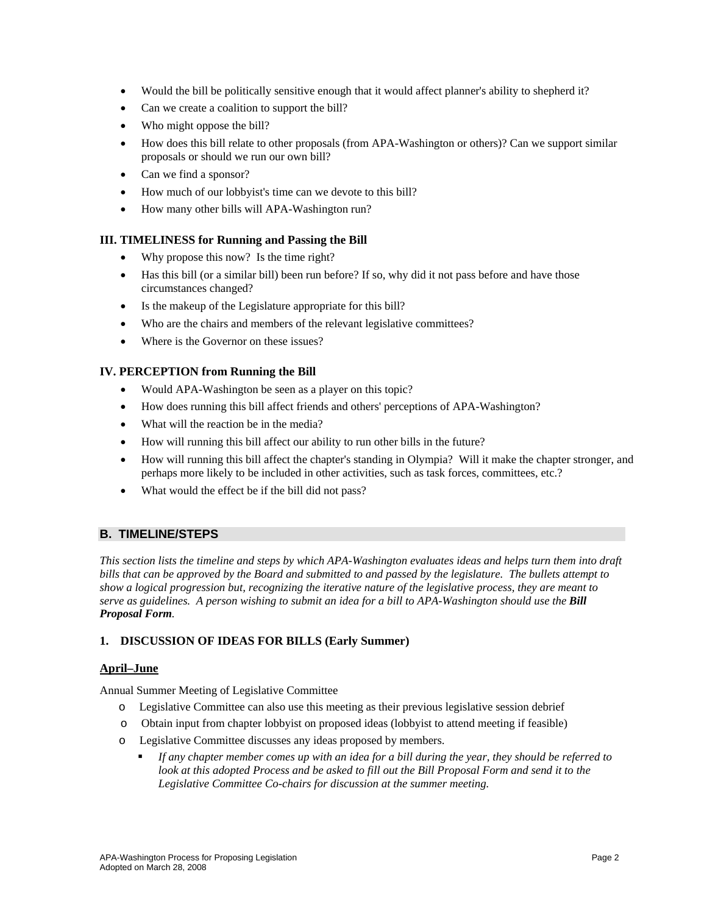- Would the bill be politically sensitive enough that it would affect planner's ability to shepherd it?
- Can we create a coalition to support the bill?
- Who might oppose the bill?
- How does this bill relate to other proposals (from APA-Washington or others)? Can we support similar proposals or should we run our own bill?
- Can we find a sponsor?
- How much of our lobbyist's time can we devote to this bill?
- How many other bills will APA-Washington run?

### **III. TIMELINESS for Running and Passing the Bill**

- Why propose this now? Is the time right?
- Has this bill (or a similar bill) been run before? If so, why did it not pass before and have those circumstances changed?
- Is the makeup of the Legislature appropriate for this bill?
- Who are the chairs and members of the relevant legislative committees?
- Where is the Governor on these issues?

# **IV. PERCEPTION from Running the Bill**

- Would APA-Washington be seen as a player on this topic?
- How does running this bill affect friends and others' perceptions of APA-Washington?
- What will the reaction be in the media?
- How will running this bill affect our ability to run other bills in the future?
- How will running this bill affect the chapter's standing in Olympia? Will it make the chapter stronger, and perhaps more likely to be included in other activities, such as task forces, committees, etc.?
- What would the effect be if the bill did not pass?

# **B. TIMELINE/STEPS**

*This section lists the timeline and steps by which APA-Washington evaluates ideas and helps turn them into draft bills that can be approved by the Board and submitted to and passed by the legislature. The bullets attempt to show a logical progression but, recognizing the iterative nature of the legislative process, they are meant to serve as guidelines. A person wishing to submit an idea for a bill to APA-Washington should use the Bill Proposal Form.*

# **1. DISCUSSION OF IDEAS FOR BILLS (Early Summer)**

### **April–June**

Annual Summer Meeting of Legislative Committee

- o Legislative Committee can also use this meeting as their previous legislative session debrief
- o Obtain input from chapter lobbyist on proposed ideas (lobbyist to attend meeting if feasible)
- o Legislative Committee discusses any ideas proposed by members.
	- *If any chapter member comes up with an idea for a bill during the year, they should be referred to look at this adopted Process and be asked to fill out the Bill Proposal Form and send it to the Legislative Committee Co-chairs for discussion at the summer meeting.*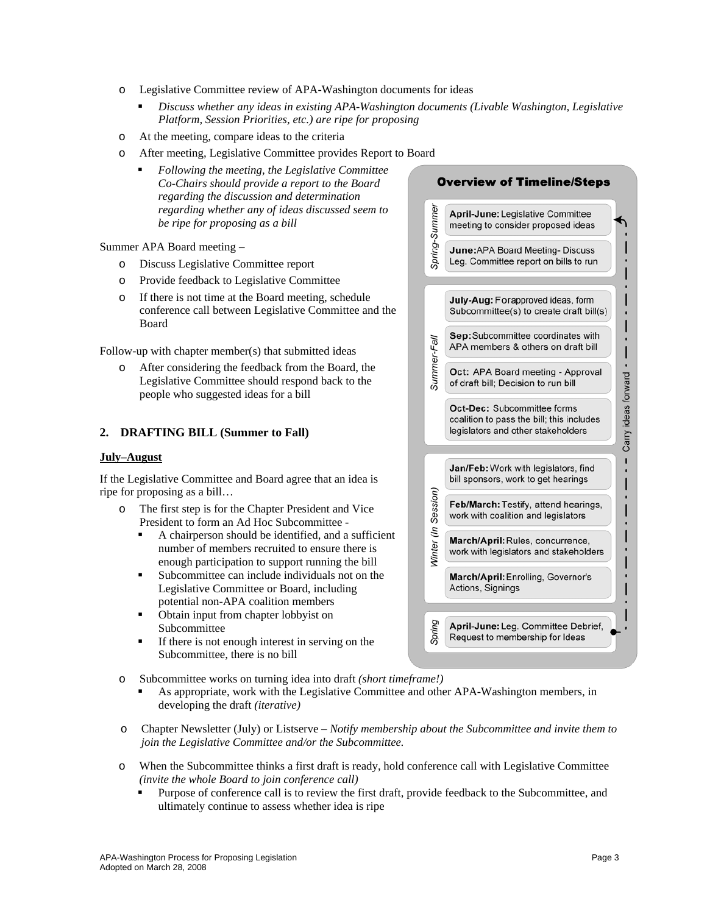- o Legislative Committee review of APA-Washington documents for ideas
	- *Discuss whether any ideas in existing APA-Washington documents (Livable Washington, Legislative Platform, Session Priorities, etc.) are ripe for proposing*
- o At the meeting, compare ideas to the criteria
- o After meeting, Legislative Committee provides Report to Board
	- *Following the meeting, the Legislative Committee Co-Chairs should provide a report to the Board regarding the discussion and determination regarding whether any of ideas discussed seem to be ripe for proposing as a bill*

Summer APA Board meeting –

- o Discuss Legislative Committee report
- o Provide feedback to Legislative Committee
- o If there is not time at the Board meeting, schedule conference call between Legislative Committee and the Board

Follow-up with chapter member(s) that submitted ideas

o After considering the feedback from the Board, the Legislative Committee should respond back to the people who suggested ideas for a bill

### **2. DRAFTING BILL (Summer to Fall)**

#### **July–August**

If the Legislative Committee and Board agree that an idea is ripe for proposing as a bill…

- o The first step is for the Chapter President and Vice President to form an Ad Hoc Subcommittee -
	- A chairperson should be identified, and a sufficient number of members recruited to ensure there is enough participation to support running the bill
	- Subcommittee can include individuals not on the Legislative Committee or Board, including potential non-APA coalition members
	- Obtain input from chapter lobbyist on Subcommittee
	- If there is not enough interest in serving on the Subcommittee, there is no bill



- o Subcommittee works on turning idea into draft *(short timeframe!)*
	- As appropriate, work with the Legislative Committee and other APA-Washington members, in developing the draft *(iterative)*
- o Chapter Newsletter (July) or Listserve *Notify membership about the Subcommittee and invite them to join the Legislative Committee and/or the Subcommittee.*
- o When the Subcommittee thinks a first draft is ready, hold conference call with Legislative Committee *(invite the whole Board to join conference call)*
	- Purpose of conference call is to review the first draft, provide feedback to the Subcommittee, and ultimately continue to assess whether idea is ripe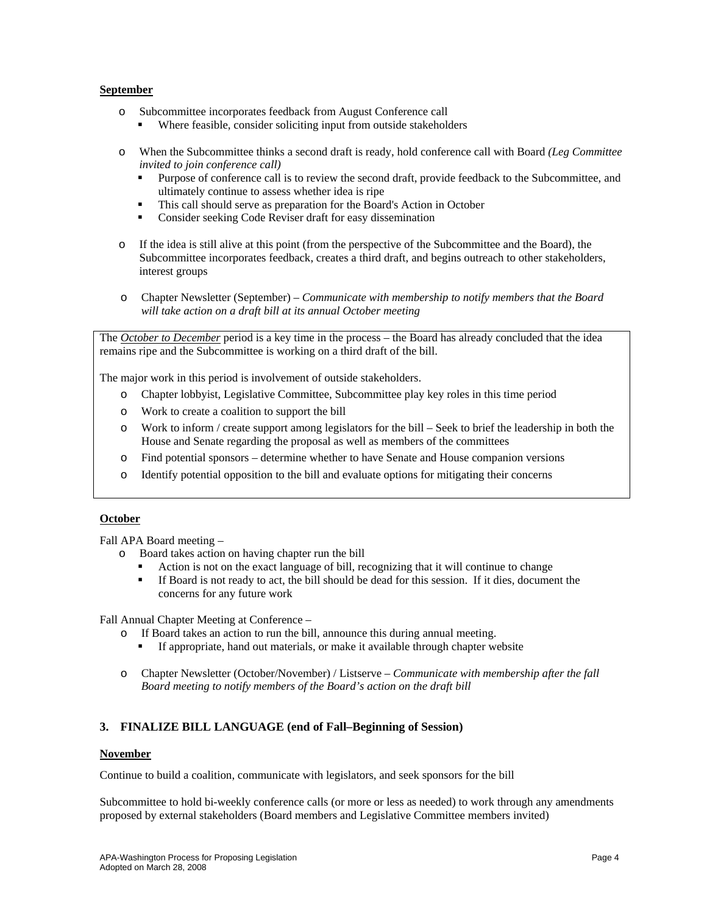#### **September**

- o Subcommittee incorporates feedback from August Conference call Where feasible, consider soliciting input from outside stakeholders
- o When the Subcommittee thinks a second draft is ready, hold conference call with Board *(Leg Committee invited to join conference call)* 
	- **Purpose of conference call is to review the second draft, provide feedback to the Subcommittee, and** ultimately continue to assess whether idea is ripe
	- This call should serve as preparation for the Board's Action in October
	- Consider seeking Code Reviser draft for easy dissemination
- o If the idea is still alive at this point (from the perspective of the Subcommittee and the Board), the Subcommittee incorporates feedback, creates a third draft, and begins outreach to other stakeholders, interest groups
- o Chapter Newsletter (September) *Communicate with membership to notify members that the Board will take action on a draft bill at its annual October meeting*

The *October to December* period is a key time in the process – the Board has already concluded that the idea remains ripe and the Subcommittee is working on a third draft of the bill.

The major work in this period is involvement of outside stakeholders.

- o Chapter lobbyist, Legislative Committee, Subcommittee play key roles in this time period
- o Work to create a coalition to support the bill
- o Work to inform / create support among legislators for the bill Seek to brief the leadership in both the House and Senate regarding the proposal as well as members of the committees
- o Find potential sponsors determine whether to have Senate and House companion versions
- o Identify potential opposition to the bill and evaluate options for mitigating their concerns

#### **October**

Fall APA Board meeting –

- o Board takes action on having chapter run the bill
	- Action is not on the exact language of bill, recognizing that it will continue to change
	- If Board is not ready to act, the bill should be dead for this session. If it dies, document the concerns for any future work

Fall Annual Chapter Meeting at Conference –

- o If Board takes an action to run the bill, announce this during annual meeting.
	- If appropriate, hand out materials, or make it available through chapter website
- o Chapter Newsletter (October/November) / Listserve *Communicate with membership after the fall Board meeting to notify members of the Board's action on the draft bill*

### **3. FINALIZE BILL LANGUAGE (end of Fall–Beginning of Session)**

#### **November**

Continue to build a coalition, communicate with legislators, and seek sponsors for the bill

Subcommittee to hold bi-weekly conference calls (or more or less as needed) to work through any amendments proposed by external stakeholders (Board members and Legislative Committee members invited)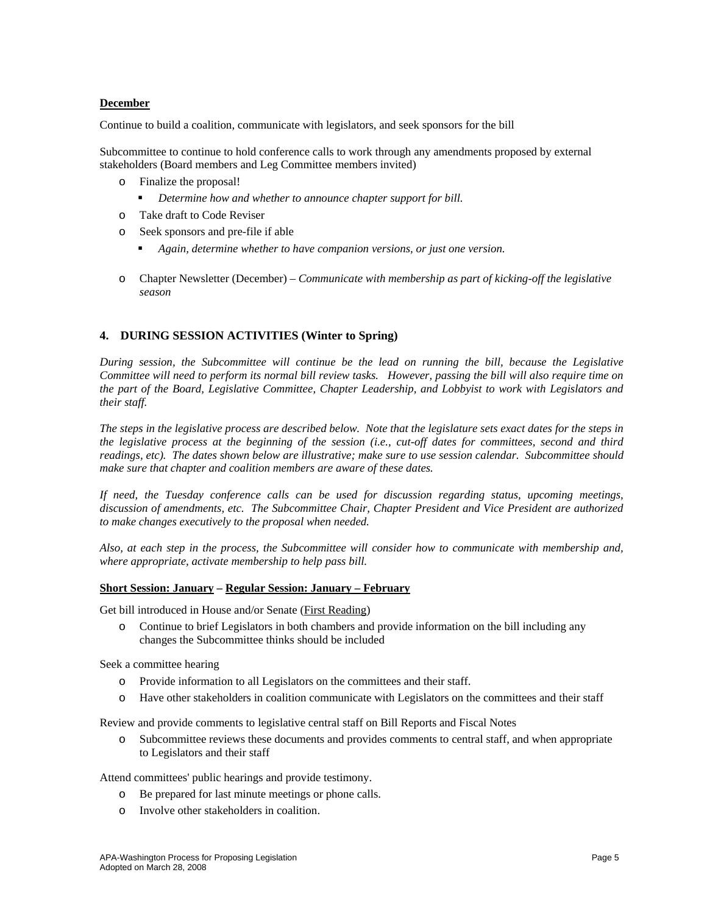#### **December**

Continue to build a coalition, communicate with legislators, and seek sponsors for the bill

Subcommittee to continue to hold conference calls to work through any amendments proposed by external stakeholders (Board members and Leg Committee members invited)

- o Finalize the proposal!
	- *Determine how and whether to announce chapter support for bill.*
- o Take draft to Code Reviser
- o Seek sponsors and pre-file if able
	- *Again, determine whether to have companion versions, or just one version.*
- o Chapter Newsletter (December) *Communicate with membership as part of kicking-off the legislative season*

### **4. DURING SESSION ACTIVITIES (Winter to Spring)**

*During session, the Subcommittee will continue be the lead on running the bill, because the Legislative Committee will need to perform its normal bill review tasks. However, passing the bill will also require time on the part of the Board, Legislative Committee, Chapter Leadership, and Lobbyist to work with Legislators and their staff.* 

*The steps in the legislative process are described below. Note that the legislature sets exact dates for the steps in the legislative process at the beginning of the session (i.e., cut-off dates for committees, second and third readings, etc). The dates shown below are illustrative; make sure to use session calendar. Subcommittee should make sure that chapter and coalition members are aware of these dates.* 

*If need, the Tuesday conference calls can be used for discussion regarding status, upcoming meetings, discussion of amendments, etc. The Subcommittee Chair, Chapter President and Vice President are authorized to make changes executively to the proposal when needed.* 

*Also, at each step in the process, the Subcommittee will consider how to communicate with membership and, where appropriate, activate membership to help pass bill.* 

#### **Short Session: January – Regular Session: January – February**

Get bill introduced in House and/or Senate (First Reading)

o Continue to brief Legislators in both chambers and provide information on the bill including any changes the Subcommittee thinks should be included

Seek a committee hearing

- o Provide information to all Legislators on the committees and their staff.
- o Have other stakeholders in coalition communicate with Legislators on the committees and their staff

Review and provide comments to legislative central staff on Bill Reports and Fiscal Notes

o Subcommittee reviews these documents and provides comments to central staff, and when appropriate to Legislators and their staff

Attend committees' public hearings and provide testimony.

- o Be prepared for last minute meetings or phone calls.
- o Involve other stakeholders in coalition.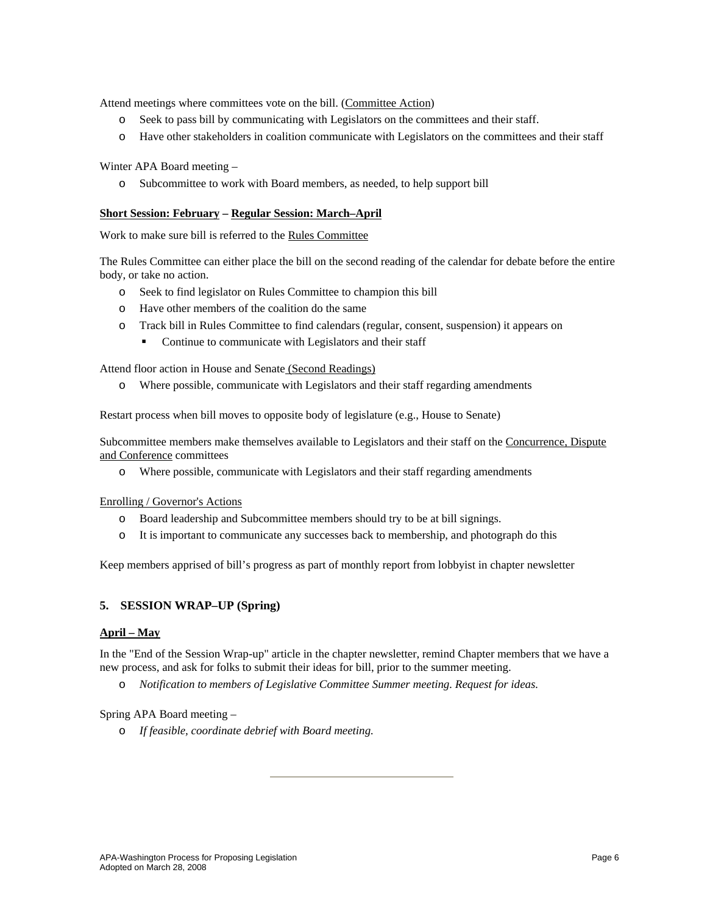Attend meetings where committees vote on the bill. (Committee Action)

- o Seek to pass bill by communicating with Legislators on the committees and their staff.
- o Have other stakeholders in coalition communicate with Legislators on the committees and their staff

Winter APA Board meeting –

o Subcommittee to work with Board members, as needed, to help support bill

### **Short Session: February – Regular Session: March–April**

Work to make sure bill is referred to the Rules Committee

The Rules Committee can either place the bill on the second reading of the calendar for debate before the entire body, or take no action.

- o Seek to find legislator on Rules Committee to champion this bill
- o Have other members of the coalition do the same
- o Track bill in Rules Committee to find calendars (regular, consent, suspension) it appears on
	- Continue to communicate with Legislators and their staff

Attend floor action in House and Senate (Second Readings)

o Where possible, communicate with Legislators and their staff regarding amendments

Restart process when bill moves to opposite body of legislature (e.g., House to Senate)

Subcommittee members make themselves available to Legislators and their staff on the Concurrence, Dispute and Conference committees

o Where possible, communicate with Legislators and their staff regarding amendments

Enrolling / Governor's Actions

- o Board leadership and Subcommittee members should try to be at bill signings.
- o It is important to communicate any successes back to membership, and photograph do this

Keep members apprised of bill's progress as part of monthly report from lobbyist in chapter newsletter

### **5. SESSION WRAP–UP (Spring)**

#### **April – May**

In the "End of the Session Wrap-up" article in the chapter newsletter, remind Chapter members that we have a new process, and ask for folks to submit their ideas for bill, prior to the summer meeting.

o *Notification to members of Legislative Committee Summer meeting. Request for ideas.*

#### Spring APA Board meeting –

o *If feasible, coordinate debrief with Board meeting.*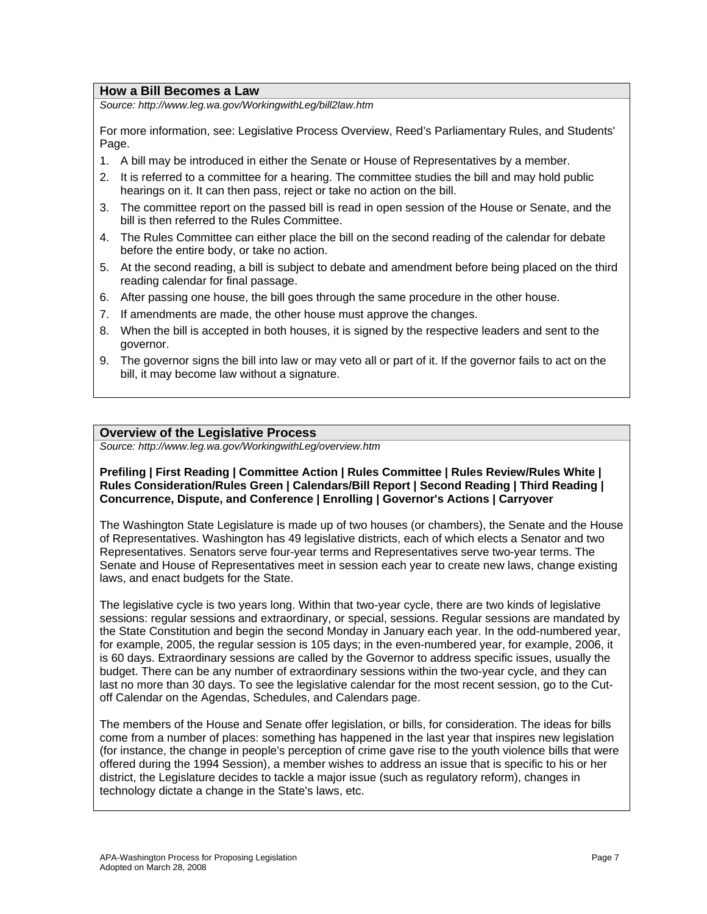# **How a Bill Becomes a Law**

*Source: http://www.leg.wa.gov/WorkingwithLeg/bill2law.htm* 

For more information, see: Legislative Process Overview, Reed's Parliamentary Rules, and Students' Page.

- 1. A bill may be introduced in either the Senate or House of Representatives by a member.
- 2. It is referred to a committee for a hearing. The committee studies the bill and may hold public hearings on it. It can then pass, reject or take no action on the bill.
- 3. The committee report on the passed bill is read in open session of the House or Senate, and the bill is then referred to the Rules Committee.
- 4. The Rules Committee can either place the bill on the second reading of the calendar for debate before the entire body, or take no action.
- 5. At the second reading, a bill is subject to debate and amendment before being placed on the third reading calendar for final passage.
- 6. After passing one house, the bill goes through the same procedure in the other house.
- 7. If amendments are made, the other house must approve the changes.
- 8. When the bill is accepted in both houses, it is signed by the respective leaders and sent to the governor.
- 9. The governor signs the bill into law or may veto all or part of it. If the governor fails to act on the bill, it may become law without a signature.

### **Overview of the Legislative Process**

*Source: http://www.leg.wa.gov/WorkingwithLeg/overview.htm* 

### **Prefiling | First Reading | Committee Action | Rules Committee | Rules Review/Rules White | Rules Consideration/Rules Green | Calendars/Bill Report | Second Reading | Third Reading | Concurrence, Dispute, and Conference | Enrolling | Governor's Actions | Carryover**

The Washington State Legislature is made up of two houses (or chambers), the Senate and the House of Representatives. Washington has 49 legislative districts, each of which elects a Senator and two Representatives. Senators serve four-year terms and Representatives serve two-year terms. The Senate and House of Representatives meet in session each year to create new laws, change existing laws, and enact budgets for the State.

The legislative cycle is two years long. Within that two-year cycle, there are two kinds of legislative sessions: regular sessions and extraordinary, or special, sessions. Regular sessions are mandated by the State Constitution and begin the second Monday in January each year. In the odd-numbered year, for example, 2005, the regular session is 105 days; in the even-numbered year, for example, 2006, it is 60 days. Extraordinary sessions are called by the Governor to address specific issues, usually the budget. There can be any number of extraordinary sessions within the two-year cycle, and they can last no more than 30 days. To see the legislative calendar for the most recent session, go to the Cutoff Calendar on the Agendas, Schedules, and Calendars page.

The members of the House and Senate offer legislation, or bills, for consideration. The ideas for bills come from a number of places: something has happened in the last year that inspires new legislation (for instance, the change in people's perception of crime gave rise to the youth violence bills that were offered during the 1994 Session), a member wishes to address an issue that is specific to his or her district, the Legislature decides to tackle a major issue (such as regulatory reform), changes in technology dictate a change in the State's laws, etc.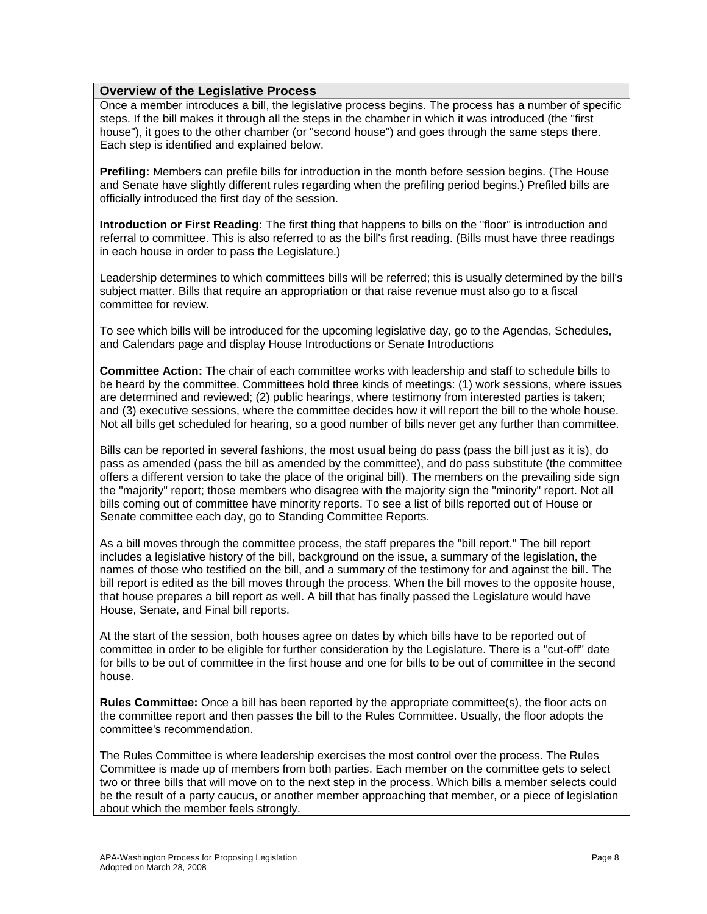### **Overview of the Legislative Process**

Once a member introduces a bill, the legislative process begins. The process has a number of specific steps. If the bill makes it through all the steps in the chamber in which it was introduced (the "first house"), it goes to the other chamber (or "second house") and goes through the same steps there. Each step is identified and explained below.

**Prefiling:** Members can prefile bills for introduction in the month before session begins. (The House and Senate have slightly different rules regarding when the prefiling period begins.) Prefiled bills are officially introduced the first day of the session.

**Introduction or First Reading:** The first thing that happens to bills on the "floor" is introduction and referral to committee. This is also referred to as the bill's first reading. (Bills must have three readings in each house in order to pass the Legislature.)

Leadership determines to which committees bills will be referred; this is usually determined by the bill's subject matter. Bills that require an appropriation or that raise revenue must also go to a fiscal committee for review.

To see which bills will be introduced for the upcoming legislative day, go to the Agendas, Schedules, and Calendars page and display House Introductions or Senate Introductions

**Committee Action:** The chair of each committee works with leadership and staff to schedule bills to be heard by the committee. Committees hold three kinds of meetings: (1) work sessions, where issues are determined and reviewed; (2) public hearings, where testimony from interested parties is taken; and (3) executive sessions, where the committee decides how it will report the bill to the whole house. Not all bills get scheduled for hearing, so a good number of bills never get any further than committee.

Bills can be reported in several fashions, the most usual being do pass (pass the bill just as it is), do pass as amended (pass the bill as amended by the committee), and do pass substitute (the committee offers a different version to take the place of the original bill). The members on the prevailing side sign the "majority" report; those members who disagree with the majority sign the "minority" report. Not all bills coming out of committee have minority reports. To see a list of bills reported out of House or Senate committee each day, go to Standing Committee Reports.

As a bill moves through the committee process, the staff prepares the "bill report." The bill report includes a legislative history of the bill, background on the issue, a summary of the legislation, the names of those who testified on the bill, and a summary of the testimony for and against the bill. The bill report is edited as the bill moves through the process. When the bill moves to the opposite house, that house prepares a bill report as well. A bill that has finally passed the Legislature would have House, Senate, and Final bill reports.

At the start of the session, both houses agree on dates by which bills have to be reported out of committee in order to be eligible for further consideration by the Legislature. There is a "cut-off" date for bills to be out of committee in the first house and one for bills to be out of committee in the second house.

**Rules Committee:** Once a bill has been reported by the appropriate committee(s), the floor acts on the committee report and then passes the bill to the Rules Committee. Usually, the floor adopts the committee's recommendation.

The Rules Committee is where leadership exercises the most control over the process. The Rules Committee is made up of members from both parties. Each member on the committee gets to select two or three bills that will move on to the next step in the process. Which bills a member selects could be the result of a party caucus, or another member approaching that member, or a piece of legislation about which the member feels strongly.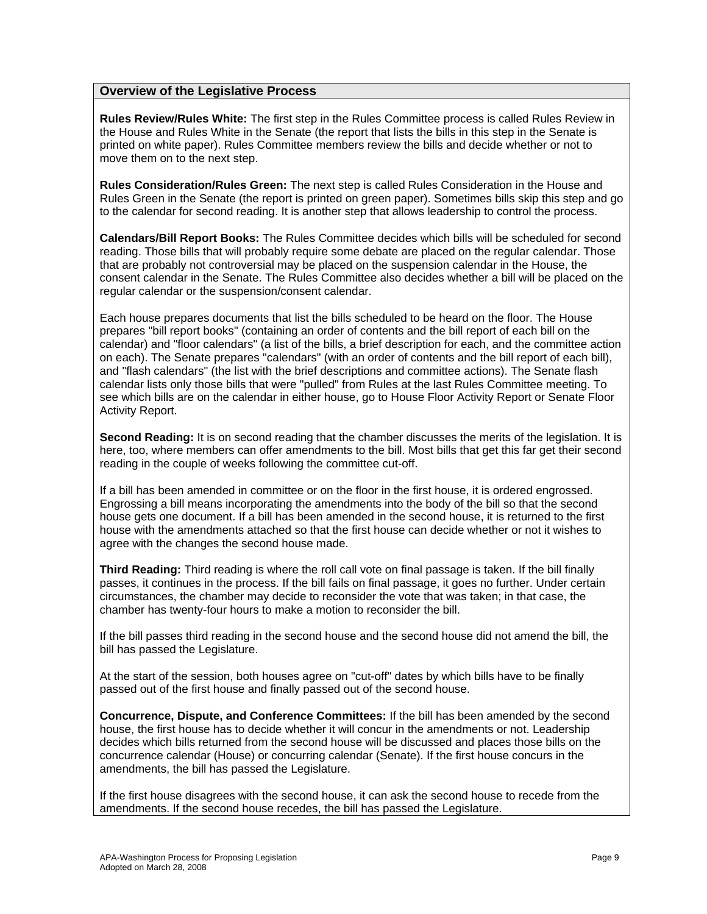# **Overview of the Legislative Process**

**Rules Review/Rules White:** The first step in the Rules Committee process is called Rules Review in the House and Rules White in the Senate (the report that lists the bills in this step in the Senate is printed on white paper). Rules Committee members review the bills and decide whether or not to move them on to the next step.

**Rules Consideration/Rules Green:** The next step is called Rules Consideration in the House and Rules Green in the Senate (the report is printed on green paper). Sometimes bills skip this step and go to the calendar for second reading. It is another step that allows leadership to control the process.

**Calendars/Bill Report Books:** The Rules Committee decides which bills will be scheduled for second reading. Those bills that will probably require some debate are placed on the regular calendar. Those that are probably not controversial may be placed on the suspension calendar in the House, the consent calendar in the Senate. The Rules Committee also decides whether a bill will be placed on the regular calendar or the suspension/consent calendar.

Each house prepares documents that list the bills scheduled to be heard on the floor. The House prepares "bill report books" (containing an order of contents and the bill report of each bill on the calendar) and "floor calendars" (a list of the bills, a brief description for each, and the committee action on each). The Senate prepares "calendars" (with an order of contents and the bill report of each bill), and "flash calendars" (the list with the brief descriptions and committee actions). The Senate flash calendar lists only those bills that were "pulled" from Rules at the last Rules Committee meeting. To see which bills are on the calendar in either house, go to House Floor Activity Report or Senate Floor Activity Report.

**Second Reading:** It is on second reading that the chamber discusses the merits of the legislation. It is here, too, where members can offer amendments to the bill. Most bills that get this far get their second reading in the couple of weeks following the committee cut-off.

If a bill has been amended in committee or on the floor in the first house, it is ordered engrossed. Engrossing a bill means incorporating the amendments into the body of the bill so that the second house gets one document. If a bill has been amended in the second house, it is returned to the first house with the amendments attached so that the first house can decide whether or not it wishes to agree with the changes the second house made.

**Third Reading:** Third reading is where the roll call vote on final passage is taken. If the bill finally passes, it continues in the process. If the bill fails on final passage, it goes no further. Under certain circumstances, the chamber may decide to reconsider the vote that was taken; in that case, the chamber has twenty-four hours to make a motion to reconsider the bill.

If the bill passes third reading in the second house and the second house did not amend the bill, the bill has passed the Legislature.

At the start of the session, both houses agree on "cut-off" dates by which bills have to be finally passed out of the first house and finally passed out of the second house.

**Concurrence, Dispute, and Conference Committees:** If the bill has been amended by the second house, the first house has to decide whether it will concur in the amendments or not. Leadership decides which bills returned from the second house will be discussed and places those bills on the concurrence calendar (House) or concurring calendar (Senate). If the first house concurs in the amendments, the bill has passed the Legislature.

If the first house disagrees with the second house, it can ask the second house to recede from the amendments. If the second house recedes, the bill has passed the Legislature.